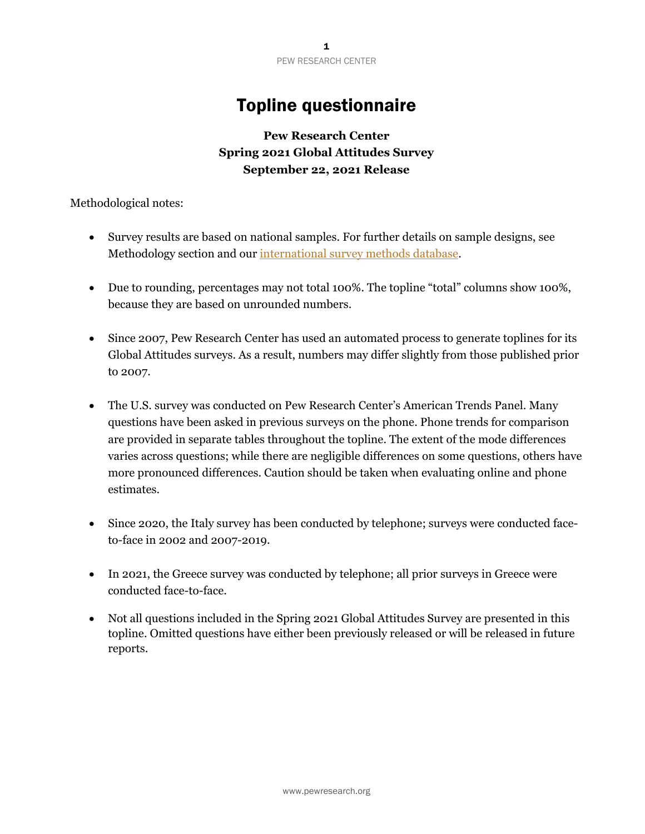# Topline questionnaire

# **Pew Research Center Spring 2021 Global Attitudes Survey September 22, 2021 Release**

Methodological notes:

- Survey results are based on national samples. For further details on sample designs, see Methodology section and our [international survey methods database.](https://www.pewresearch.org/methods/interactives/international-methodology/global-attitudes-survey/all-country/all-year)
- Due to rounding, percentages may not total 100%. The topline "total" columns show 100%, because they are based on unrounded numbers.
- Since 2007, Pew Research Center has used an automated process to generate toplines for its Global Attitudes surveys. As a result, numbers may differ slightly from those published prior to 2007.
- The U.S. survey was conducted on Pew Research Center's American Trends Panel. Many questions have been asked in previous surveys on the phone. Phone trends for comparison are provided in separate tables throughout the topline. The extent of the mode differences varies across questions; while there are negligible differences on some questions, others have more pronounced differences. Caution should be taken when evaluating online and phone estimates.
- Since 2020, the Italy survey has been conducted by telephone; surveys were conducted faceto-face in 2002 and 2007-2019.
- In 2021, the Greece survey was conducted by telephone; all prior surveys in Greece were conducted face-to-face.
- Not all questions included in the Spring 2021 Global Attitudes Survey are presented in this topline. Omitted questions have either been previously released or will be released in future reports.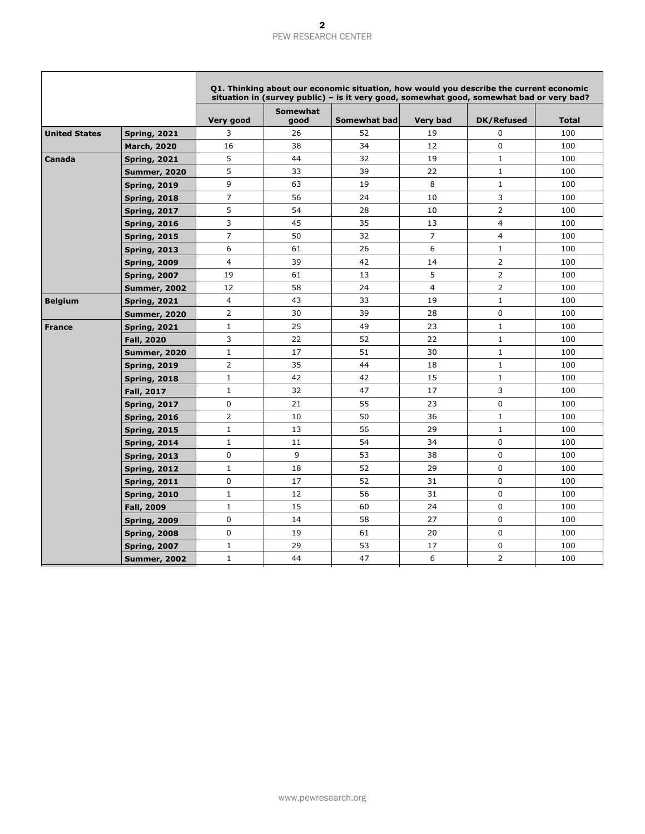|                      |                     |                |                         | Q1. Thinking about our economic situation, how would you describe the current economic<br>situation in (survey public) – is it very good, somewhat good, somewhat bad or very bad? |                 |                   |              |
|----------------------|---------------------|----------------|-------------------------|------------------------------------------------------------------------------------------------------------------------------------------------------------------------------------|-----------------|-------------------|--------------|
|                      |                     | Very good      | <b>Somewhat</b><br>good | <b>Somewhat bad</b>                                                                                                                                                                | <b>Very bad</b> | <b>DK/Refused</b> | <b>Total</b> |
| <b>United States</b> | <b>Spring, 2021</b> | 3              | 26                      | 52                                                                                                                                                                                 | 19              | $\mathbf 0$       | 100          |
|                      | <b>March, 2020</b>  | 16             | 38                      | 34                                                                                                                                                                                 | 12              | $\mathbf 0$       | 100          |
| Canada               | <b>Spring, 2021</b> | 5              | 44                      | 32                                                                                                                                                                                 | 19              | $\mathbf{1}$      | 100          |
|                      | <b>Summer, 2020</b> | 5              | 33                      | 39                                                                                                                                                                                 | 22              | $\mathbf{1}$      | 100          |
|                      | <b>Spring, 2019</b> | 9              | 63                      | 19                                                                                                                                                                                 | 8               | $\mathbf{1}$      | 100          |
|                      | <b>Spring, 2018</b> | 7              | 56                      | 24                                                                                                                                                                                 | 10              | 3                 | 100          |
|                      | <b>Spring, 2017</b> | 5              | 54                      | 28                                                                                                                                                                                 | 10              | 2                 | 100          |
|                      | <b>Spring, 2016</b> | 3              | 45                      | 35                                                                                                                                                                                 | 13              | 4                 | 100          |
|                      | <b>Spring, 2015</b> | $\overline{7}$ | 50                      | 32                                                                                                                                                                                 | $\overline{7}$  | 4                 | 100          |
|                      | <b>Spring, 2013</b> | 6              | 61                      | 26                                                                                                                                                                                 | 6               | $\mathbf{1}$      | 100          |
|                      | <b>Spring, 2009</b> | 4              | 39                      | 42                                                                                                                                                                                 | 14              | $\overline{2}$    | 100          |
|                      | <b>Spring, 2007</b> | 19             | 61                      | 13                                                                                                                                                                                 | 5               | $\overline{2}$    | 100          |
|                      | <b>Summer, 2002</b> | 12             | 58                      | 24                                                                                                                                                                                 | 4               | 2                 | 100          |
| <b>Belgium</b>       | <b>Spring, 2021</b> | $\overline{4}$ | 43                      | 33                                                                                                                                                                                 | 19              | $\mathbf{1}$      | 100          |
|                      | <b>Summer, 2020</b> | $\overline{2}$ | 30                      | 39                                                                                                                                                                                 | 28              | $\mathbf 0$       | 100          |
| <b>France</b>        | <b>Spring, 2021</b> | $\mathbf{1}$   | 25                      | 49                                                                                                                                                                                 | 23              | $\mathbf{1}$      | 100          |
|                      | <b>Fall, 2020</b>   | 3              | 22                      | 52                                                                                                                                                                                 | 22              | $\mathbf{1}$      | 100          |
|                      | <b>Summer, 2020</b> | $\mathbf{1}$   | 17                      | 51                                                                                                                                                                                 | 30              | $\mathbf{1}$      | 100          |
|                      | <b>Spring, 2019</b> | $\overline{2}$ | 35                      | 44                                                                                                                                                                                 | 18              | $\mathbf 1$       | 100          |
|                      | <b>Spring, 2018</b> | $\mathbf{1}$   | 42                      | 42                                                                                                                                                                                 | 15              | $\mathbf{1}$      | 100          |
|                      | <b>Fall, 2017</b>   | $\mathbf 1$    | 32                      | 47                                                                                                                                                                                 | 17              | 3                 | 100          |
|                      | <b>Spring, 2017</b> | 0              | 21                      | 55                                                                                                                                                                                 | 23              | $\mathbf 0$       | 100          |
|                      | <b>Spring, 2016</b> | $\overline{2}$ | 10                      | 50                                                                                                                                                                                 | 36              | $\mathbf 1$       | 100          |
|                      | <b>Spring, 2015</b> | $\mathbf{1}$   | 13                      | 56                                                                                                                                                                                 | 29              | $\mathbf 1$       | 100          |
|                      | <b>Spring, 2014</b> | $\mathbf{1}$   | 11                      | 54                                                                                                                                                                                 | 34              | $\mathbf 0$       | 100          |
|                      | <b>Spring, 2013</b> | 0              | 9                       | 53                                                                                                                                                                                 | 38              | $\mathbf 0$       | 100          |
|                      | <b>Spring, 2012</b> | $\mathbf{1}$   | 18                      | 52                                                                                                                                                                                 | 29              | $\mathbf 0$       | 100          |
|                      | <b>Spring, 2011</b> | 0              | 17                      | 52                                                                                                                                                                                 | 31              | $\mathbf 0$       | 100          |
|                      | <b>Spring, 2010</b> | $\mathbf{1}$   | 12                      | 56                                                                                                                                                                                 | 31              | 0                 | 100          |
|                      | <b>Fall, 2009</b>   | $\mathbf{1}$   | 15                      | 60                                                                                                                                                                                 | 24              | $\mathbf 0$       | 100          |
|                      | <b>Spring, 2009</b> | 0              | 14                      | 58                                                                                                                                                                                 | 27              | $\mathbf 0$       | 100          |
|                      | <b>Spring, 2008</b> | 0              | 19                      | 61                                                                                                                                                                                 | 20              | 0                 | 100          |
|                      | <b>Spring, 2007</b> | $\mathbf{1}$   | 29                      | 53                                                                                                                                                                                 | 17              | 0                 | 100          |
|                      | <b>Summer, 2002</b> | $\mathbf{1}$   | 44                      | 47                                                                                                                                                                                 | 6               | $\overline{2}$    | 100          |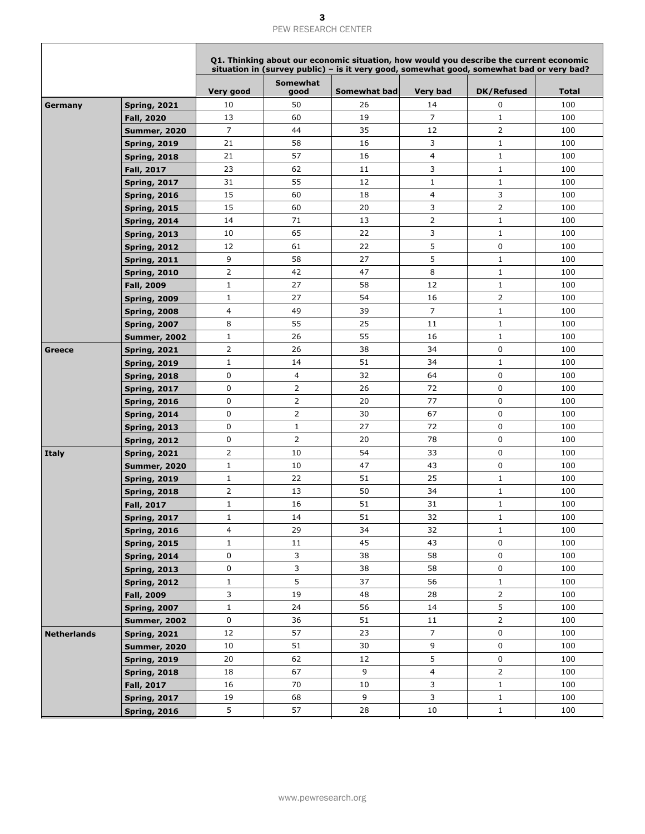|                    |                     |              |                  | Q1. Thinking about our economic situation, how would you describe the current economic<br>situation in (survey public) - is it very good, somewhat good, somewhat bad or very bad? |                         |                   |              |
|--------------------|---------------------|--------------|------------------|------------------------------------------------------------------------------------------------------------------------------------------------------------------------------------|-------------------------|-------------------|--------------|
|                    |                     | Very good    | Somewhat<br>good | <b>Somewhat bad</b>                                                                                                                                                                | <b>Very bad</b>         | <b>DK/Refused</b> | <b>Total</b> |
| Germany            | <b>Spring, 2021</b> | 10           | 50               | 26                                                                                                                                                                                 | 14                      | $\mathbf 0$       | 100          |
|                    | <b>Fall, 2020</b>   | 13           | 60               | 19                                                                                                                                                                                 | $\overline{7}$          | $\mathbf 1$       | 100          |
|                    | <b>Summer, 2020</b> | 7            | 44               | 35                                                                                                                                                                                 | 12                      | $\overline{2}$    | 100          |
|                    | <b>Spring, 2019</b> | 21           | 58               | 16                                                                                                                                                                                 | 3                       | $\mathbf 1$       | 100          |
|                    | <b>Spring, 2018</b> | 21           | 57               | 16                                                                                                                                                                                 | $\overline{\mathbf{4}}$ | $\mathbf{1}$      | 100          |
|                    | <b>Fall, 2017</b>   | 23           | 62               | 11                                                                                                                                                                                 | 3                       | $\mathbf{1}$      | 100          |
|                    | <b>Spring, 2017</b> | 31           | 55               | 12                                                                                                                                                                                 | $\mathbf{1}$            | $\mathbf{1}$      | 100          |
|                    | <b>Spring, 2016</b> | 15           | 60               | 18                                                                                                                                                                                 | 4                       | 3                 | 100          |
|                    | <b>Spring, 2015</b> | 15           | 60               | 20                                                                                                                                                                                 | 3                       | $\overline{2}$    | 100          |
|                    | <b>Spring, 2014</b> | 14           | 71               | 13                                                                                                                                                                                 | $\overline{2}$          | $\mathbf{1}$      | 100          |
|                    | <b>Spring, 2013</b> | 10           | 65               | 22                                                                                                                                                                                 | 3                       | $\mathbf{1}$      | 100          |
|                    | <b>Spring, 2012</b> | 12           | 61               | 22                                                                                                                                                                                 | 5                       | 0                 | 100          |
|                    | <b>Spring, 2011</b> | 9            | 58               | 27                                                                                                                                                                                 | 5                       | $\mathbf{1}$      | 100          |
|                    | <b>Spring, 2010</b> | 2            | 42               | 47                                                                                                                                                                                 | 8                       | $\mathbf{1}$      | 100          |
|                    | <b>Fall, 2009</b>   | $\mathbf{1}$ | 27               | 58                                                                                                                                                                                 | 12                      | $1\,$             | 100          |
|                    | <b>Spring, 2009</b> | $\mathbf{1}$ | 27               | 54                                                                                                                                                                                 | 16                      | $\overline{2}$    | 100          |
|                    | <b>Spring, 2008</b> | 4            | 49               | 39                                                                                                                                                                                 | $\overline{7}$          | $1\,$             | 100          |
|                    | <b>Spring, 2007</b> | 8            | 55               | 25                                                                                                                                                                                 | 11                      | $1\,$             | 100          |
|                    | <b>Summer, 2002</b> | $\mathbf{1}$ | 26               | 55                                                                                                                                                                                 | 16                      | $\mathbf{1}$      | 100          |
| Greece             | <b>Spring, 2021</b> | 2            | 26               | 38                                                                                                                                                                                 | 34                      | $\mathbf 0$       | 100          |
|                    | <b>Spring, 2019</b> | $\mathbf{1}$ | 14               | 51                                                                                                                                                                                 | 34                      | $\mathbf{1}$      | 100          |
|                    | <b>Spring, 2018</b> | 0            | 4                | 32                                                                                                                                                                                 | 64                      | $\mathbf 0$       | 100          |
|                    | <b>Spring, 2017</b> | 0            | 2                | 26                                                                                                                                                                                 | 72                      | 0                 | 100          |
|                    | <b>Spring, 2016</b> | 0            | $\overline{2}$   | 20                                                                                                                                                                                 | 77                      | $\mathbf 0$       | 100          |
|                    | <b>Spring, 2014</b> | 0            | 2                | 30                                                                                                                                                                                 | 67                      | $\mathbf 0$       | 100          |
|                    | <b>Spring, 2013</b> | 0            | $1\,$            | 27                                                                                                                                                                                 | 72                      | $\mathbf 0$       | 100          |
|                    | <b>Spring, 2012</b> | 0            | 2                | 20                                                                                                                                                                                 | 78                      | $\mathbf 0$       | 100          |
| <b>Italy</b>       | <b>Spring, 2021</b> | 2            | 10               | 54                                                                                                                                                                                 | 33                      | $\mathbf 0$       | 100          |
|                    | <b>Summer, 2020</b> | $\mathbf{1}$ | 10               | 47                                                                                                                                                                                 | 43                      | $\mathbf 0$       | 100          |
|                    | <b>Spring, 2019</b> | $\mathbf{1}$ | 22               | 51                                                                                                                                                                                 | 25                      | $\mathbf 1$       | 100          |
|                    | <b>Spring, 2018</b> | 2            | 13               | 50                                                                                                                                                                                 | 34                      | $\mathbf{1}$      | 100          |
|                    | <b>Fall, 2017</b>   | $\mathbf{1}$ | 16               | 51                                                                                                                                                                                 | 31                      | $\mathbf{1}$      | 100          |
|                    | <b>Spring, 2017</b> | $\mathbf{1}$ | 14               | 51                                                                                                                                                                                 | 32                      | $\mathbf{1}$      | 100          |
|                    | <b>Spring, 2016</b> | 4            | 29               | 34                                                                                                                                                                                 | 32                      | $\mathbf{1}$      | 100          |
|                    | <b>Spring, 2015</b> | $\mathbf{1}$ | 11               | 45                                                                                                                                                                                 | 43                      | 0                 | 100          |
|                    | <b>Spring, 2014</b> | 0            | 3                | 38                                                                                                                                                                                 | 58                      | 0                 | 100          |
|                    | <b>Spring, 2013</b> | 0            | 3                | 38                                                                                                                                                                                 | 58                      | $\mathbf 0$       | 100          |
|                    | <b>Spring, 2012</b> | $\mathbf{1}$ | 5                | 37                                                                                                                                                                                 | 56                      | $\mathbf{1}$      | 100          |
|                    | Fall, 2009          | 3            | 19               | 48                                                                                                                                                                                 | 28                      | $\overline{2}$    | 100          |
|                    | <b>Spring, 2007</b> | $\mathbf{1}$ | 24               | 56                                                                                                                                                                                 | 14                      | 5                 | 100          |
|                    | <b>Summer, 2002</b> | 0            | 36               | 51                                                                                                                                                                                 | 11                      | $\overline{2}$    | 100          |
| <b>Netherlands</b> | <b>Spring, 2021</b> | 12           | 57               | 23                                                                                                                                                                                 | $\overline{7}$          | 0                 | 100          |
|                    | <b>Summer, 2020</b> | 10           | 51               | 30                                                                                                                                                                                 | 9                       | 0                 | 100          |
|                    | <b>Spring, 2019</b> | 20           | 62               | 12                                                                                                                                                                                 | 5                       | 0                 | 100          |
|                    | <b>Spring, 2018</b> | 18           | 67               | 9                                                                                                                                                                                  | $\overline{4}$          | $\overline{2}$    | 100          |
|                    | Fall, 2017          | 16           | 70               | 10                                                                                                                                                                                 | 3                       | $\mathbf{1}$      | 100          |
|                    | <b>Spring, 2017</b> | 19           | 68               | 9                                                                                                                                                                                  | 3                       | $\mathbf{1}$      | 100          |
|                    | <b>Spring, 2016</b> | 5            | 57               | 28                                                                                                                                                                                 | 10                      | $\mathbf{1}$      | 100          |
|                    |                     |              |                  |                                                                                                                                                                                    |                         |                   |              |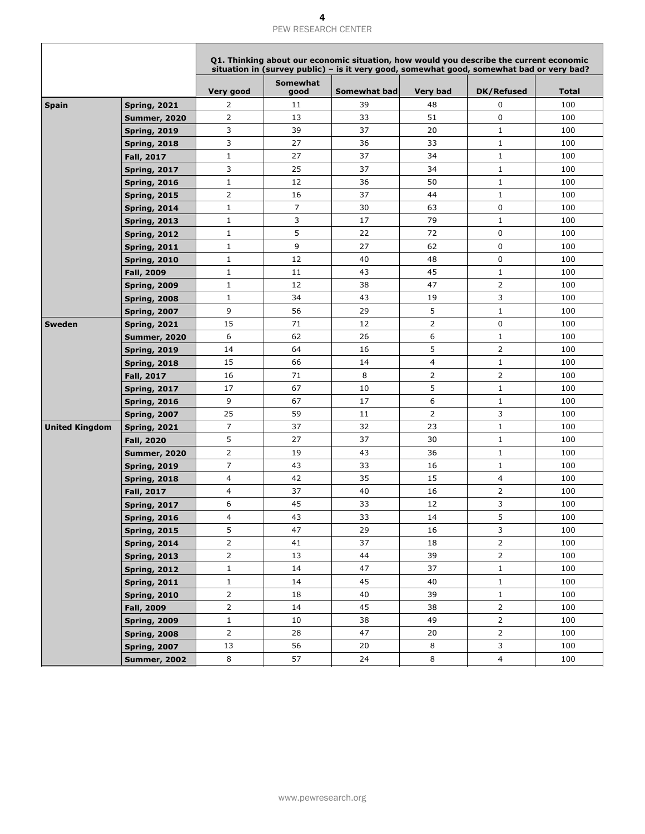|                       |                     |                |                         | Q1. Thinking about our economic situation, how would you describe the current economic<br>situation in (survey public) - is it very good, somewhat good, somewhat bad or very bad? |                 |                   |              |
|-----------------------|---------------------|----------------|-------------------------|------------------------------------------------------------------------------------------------------------------------------------------------------------------------------------|-----------------|-------------------|--------------|
|                       |                     | Very good      | <b>Somewhat</b><br>good | <b>Somewhat bad</b>                                                                                                                                                                | <b>Very bad</b> | <b>DK/Refused</b> | <b>Total</b> |
| <b>Spain</b>          | <b>Spring, 2021</b> | 2              | 11                      | 39                                                                                                                                                                                 | 48              | $\mathbf 0$       | 100          |
|                       | <b>Summer, 2020</b> | $\overline{2}$ | 13                      | 33                                                                                                                                                                                 | 51              | $\mathbf 0$       | 100          |
|                       | <b>Spring, 2019</b> | 3              | 39                      | 37                                                                                                                                                                                 | 20              | $\mathbf{1}$      | 100          |
|                       | <b>Spring, 2018</b> | 3              | 27                      | 36                                                                                                                                                                                 | 33              | $\mathbf{1}$      | 100          |
|                       | <b>Fall, 2017</b>   | $\mathbf{1}$   | 27                      | 37                                                                                                                                                                                 | 34              | $\mathbf{1}$      | 100          |
|                       | <b>Spring, 2017</b> | 3              | 25                      | 37                                                                                                                                                                                 | 34              | $\mathbf{1}$      | 100          |
|                       | <b>Spring, 2016</b> | $\mathbf{1}$   | 12                      | 36                                                                                                                                                                                 | 50              | $\mathbf{1}$      | 100          |
|                       | <b>Spring, 2015</b> | $\overline{2}$ | 16                      | 37                                                                                                                                                                                 | 44              | $\mathbf{1}$      | 100          |
|                       | <b>Spring, 2014</b> | $\mathbf{1}$   | $\overline{7}$          | 30                                                                                                                                                                                 | 63              | 0                 | 100          |
|                       | <b>Spring, 2013</b> | $\mathbf{1}$   | 3                       | 17                                                                                                                                                                                 | 79              | $\mathbf{1}$      | 100          |
|                       | <b>Spring, 2012</b> | $\mathbf{1}$   | 5                       | 22                                                                                                                                                                                 | 72              | $\mathbf 0$       | 100          |
|                       | <b>Spring, 2011</b> | $\mathbf{1}$   | 9                       | 27                                                                                                                                                                                 | 62              | 0                 | 100          |
|                       | <b>Spring, 2010</b> | $\mathbf{1}$   | 12                      | 40                                                                                                                                                                                 | 48              | 0                 | 100          |
|                       | <b>Fall, 2009</b>   | $\mathbf{1}$   | 11                      | 43                                                                                                                                                                                 | 45              | $\mathbf{1}$      | 100          |
|                       | <b>Spring, 2009</b> | $\mathbf{1}$   | 12                      | 38                                                                                                                                                                                 | 47              | $\overline{2}$    | 100          |
|                       | <b>Spring, 2008</b> | $\mathbf{1}$   | 34                      | 43                                                                                                                                                                                 | 19              | 3                 | 100          |
|                       | <b>Spring, 2007</b> | 9              | 56                      | 29                                                                                                                                                                                 | 5               | $\mathbf{1}$      | 100          |
| <b>Sweden</b>         | <b>Spring, 2021</b> | 15             | 71                      | 12                                                                                                                                                                                 | 2               | 0                 | 100          |
|                       | <b>Summer, 2020</b> | 6              | 62                      | 26                                                                                                                                                                                 | 6               | $\mathbf{1}$      | 100          |
|                       | <b>Spring, 2019</b> | 14             | 64                      | 16                                                                                                                                                                                 | 5               | $\overline{2}$    | 100          |
|                       | <b>Spring, 2018</b> | 15             | 66                      | 14                                                                                                                                                                                 | 4               | $\mathbf{1}$      | 100          |
|                       | <b>Fall, 2017</b>   | 16             | 71                      | 8                                                                                                                                                                                  | $\overline{2}$  | $\overline{2}$    | 100          |
|                       | <b>Spring, 2017</b> | 17             | 67                      | 10                                                                                                                                                                                 | 5               | $\mathbf{1}$      | 100          |
|                       | <b>Spring, 2016</b> | 9              | 67                      | 17                                                                                                                                                                                 | 6               | $\mathbf 1$       | 100          |
|                       | <b>Spring, 2007</b> | 25             | 59                      | 11                                                                                                                                                                                 | $\overline{2}$  | 3                 | 100          |
| <b>United Kingdom</b> | <b>Spring, 2021</b> | 7              | 37                      | 32                                                                                                                                                                                 | 23              | $\mathbf{1}$      | 100          |
|                       | <b>Fall, 2020</b>   | 5              | 27                      | 37                                                                                                                                                                                 | 30              | $\mathbf 1$       | 100          |
|                       | <b>Summer, 2020</b> | 2              | 19                      | 43                                                                                                                                                                                 | 36              | $\mathbf{1}$      | 100          |
|                       | <b>Spring, 2019</b> | 7              | 43                      | 33                                                                                                                                                                                 | 16              | $\mathbf{1}$      | 100          |
|                       | <b>Spring, 2018</b> | 4              | 42                      | 35                                                                                                                                                                                 | 15              | 4                 | 100          |
|                       | <b>Fall, 2017</b>   | 4              | 37                      | 40                                                                                                                                                                                 | 16              | $\overline{2}$    | 100          |
|                       | <b>Spring, 2017</b> | 6              | 45                      | 33                                                                                                                                                                                 | 12              | 3                 | 100          |
|                       | <b>Spring, 2016</b> | 4              | 43                      | 33                                                                                                                                                                                 | 14              | 5                 | 100          |
|                       | <b>Spring, 2015</b> | 5              | 47                      | 29                                                                                                                                                                                 | 16              | 3                 | 100          |
|                       | <b>Spring, 2014</b> | 2              | 41                      | 37                                                                                                                                                                                 | 18              | $\overline{2}$    | 100          |
|                       | <b>Spring, 2013</b> | 2              | 13                      | 44                                                                                                                                                                                 | 39              | $\mathsf{2}$      | 100          |
|                       | <b>Spring, 2012</b> | $\mathbf{1}$   | 14                      | 47                                                                                                                                                                                 | 37              | $\mathbf{1}$      | 100          |
|                       | <b>Spring, 2011</b> | $\mathbf{1}$   | 14                      | 45                                                                                                                                                                                 | 40              | $\mathbf{1}$      | 100          |
|                       | <b>Spring, 2010</b> | $\overline{2}$ | 18                      | 40                                                                                                                                                                                 | 39              | $\mathbf{1}$      | 100          |
|                       | <b>Fall, 2009</b>   | $\overline{2}$ | 14                      | 45                                                                                                                                                                                 | 38              | $\overline{2}$    | 100          |
|                       | <b>Spring, 2009</b> | $\mathbf{1}$   | 10                      | 38                                                                                                                                                                                 | 49              | $\overline{2}$    | 100          |
|                       | <b>Spring, 2008</b> | $\overline{2}$ | 28                      | 47                                                                                                                                                                                 | 20              | $\overline{2}$    | 100          |
|                       | <b>Spring, 2007</b> | 13             | 56                      | 20                                                                                                                                                                                 | 8               | 3                 | 100          |
|                       | <b>Summer, 2002</b> | 8              | 57                      | 24                                                                                                                                                                                 | 8               | $\overline{4}$    | 100          |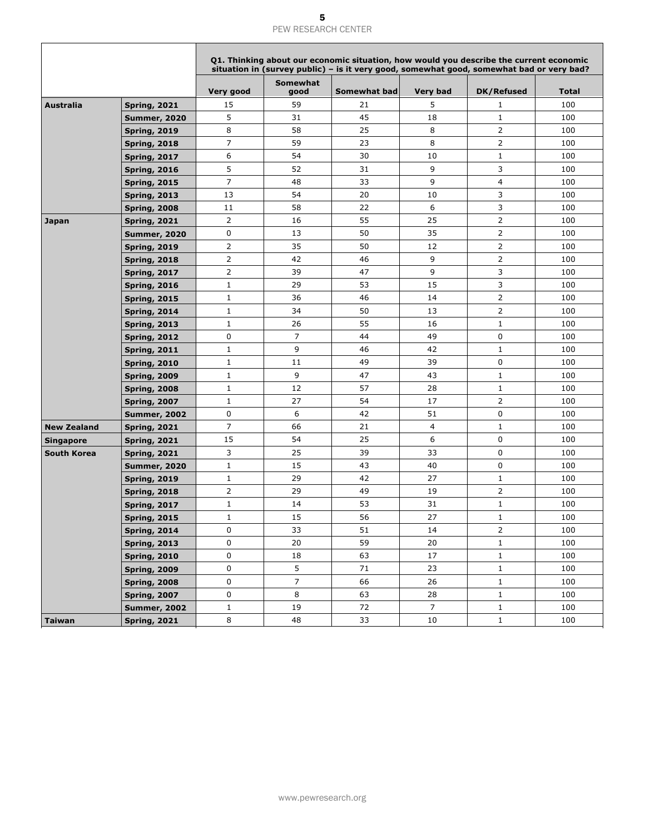|                    |                     |                |                  | Q1. Thinking about our economic situation, how would you describe the current economic<br>situation in (survey public) – is it very good, somewhat good, somewhat bad or very bad? |                 |                   |              |
|--------------------|---------------------|----------------|------------------|------------------------------------------------------------------------------------------------------------------------------------------------------------------------------------|-----------------|-------------------|--------------|
|                    |                     | Very good      | Somewhat<br>good | Somewhat bad                                                                                                                                                                       | <b>Very bad</b> | <b>DK/Refused</b> | <b>Total</b> |
| <b>Australia</b>   | <b>Spring, 2021</b> | 15             | 59               | 21                                                                                                                                                                                 | 5               | $\mathbf{1}$      | 100          |
|                    | <b>Summer, 2020</b> | 5              | 31               | 45                                                                                                                                                                                 | 18              | $\mathbf{1}$      | 100          |
|                    | <b>Spring, 2019</b> | 8              | 58               | 25                                                                                                                                                                                 | 8               | $\overline{2}$    | 100          |
|                    | <b>Spring, 2018</b> | $\overline{7}$ | 59               | 23                                                                                                                                                                                 | 8               | $\overline{2}$    | 100          |
|                    | <b>Spring, 2017</b> | 6              | 54               | 30                                                                                                                                                                                 | 10              | $\mathbf{1}$      | 100          |
|                    | <b>Spring, 2016</b> | 5              | 52               | 31                                                                                                                                                                                 | 9               | 3                 | 100          |
|                    | <b>Spring, 2015</b> | $\overline{7}$ | 48               | 33                                                                                                                                                                                 | 9               | 4                 | 100          |
|                    | <b>Spring, 2013</b> | 13             | 54               | 20                                                                                                                                                                                 | 10              | 3                 | 100          |
|                    | <b>Spring, 2008</b> | 11             | 58               | 22                                                                                                                                                                                 | 6               | 3                 | 100          |
| Japan              | <b>Spring, 2021</b> | $\overline{2}$ | 16               | 55                                                                                                                                                                                 | 25              | $\overline{2}$    | 100          |
|                    | <b>Summer, 2020</b> | 0              | 13               | 50                                                                                                                                                                                 | 35              | 2                 | 100          |
|                    | <b>Spring, 2019</b> | $\overline{2}$ | 35               | 50                                                                                                                                                                                 | 12              | $\overline{2}$    | 100          |
|                    | <b>Spring, 2018</b> | $\overline{2}$ | 42               | 46                                                                                                                                                                                 | 9               | 2                 | 100          |
|                    | <b>Spring, 2017</b> | $\overline{2}$ | 39               | 47                                                                                                                                                                                 | 9               | 3                 | 100          |
|                    | <b>Spring, 2016</b> | $\mathbf{1}$   | 29               | 53                                                                                                                                                                                 | 15              | 3                 | 100          |
|                    | <b>Spring, 2015</b> | $\mathbf{1}$   | 36               | 46                                                                                                                                                                                 | 14              | $\overline{2}$    | 100          |
|                    | <b>Spring, 2014</b> | $\mathbf{1}$   | 34               | 50                                                                                                                                                                                 | 13              | 2                 | 100          |
|                    | <b>Spring, 2013</b> | $\mathbf{1}$   | 26               | 55                                                                                                                                                                                 | 16              | $\mathbf{1}$      | 100          |
|                    | <b>Spring, 2012</b> | 0              | $\overline{7}$   | 44                                                                                                                                                                                 | 49              | 0                 | 100          |
|                    | <b>Spring, 2011</b> | $\mathbf{1}$   | 9                | 46                                                                                                                                                                                 | 42              | $\mathbf{1}$      | 100          |
|                    | <b>Spring, 2010</b> | $\mathbf{1}$   | 11               | 49                                                                                                                                                                                 | 39              | 0                 | 100          |
|                    | <b>Spring, 2009</b> | $\mathbf{1}$   | 9                | 47                                                                                                                                                                                 | 43              | $\mathbf{1}$      | 100          |
|                    | <b>Spring, 2008</b> | $\mathbf{1}$   | 12               | 57                                                                                                                                                                                 | 28              | $1\,$             | 100          |
|                    | <b>Spring, 2007</b> | $\mathbf{1}$   | 27               | 54                                                                                                                                                                                 | 17              | $\overline{2}$    | 100          |
|                    | <b>Summer, 2002</b> | 0              | 6                | 42                                                                                                                                                                                 | 51              | 0                 | 100          |
| <b>New Zealand</b> | <b>Spring, 2021</b> | 7              | 66               | 21                                                                                                                                                                                 | 4               | $\mathbf{1}$      | 100          |
| <b>Singapore</b>   | <b>Spring, 2021</b> | 15             | 54               | 25                                                                                                                                                                                 | 6               | 0                 | 100          |
| <b>South Korea</b> | <b>Spring, 2021</b> | 3              | 25               | 39                                                                                                                                                                                 | 33              | 0                 | 100          |
|                    | <b>Summer, 2020</b> | $\mathbf{1}$   | 15               | 43                                                                                                                                                                                 | 40              | 0                 | 100          |
|                    | <b>Spring, 2019</b> | $\mathbf{1}$   | 29               | 42                                                                                                                                                                                 | 27              | $\mathbf{1}$      | 100          |
|                    | <b>Spring, 2018</b> | 2              | 29               | 49                                                                                                                                                                                 | 19              | 2                 | 100          |
|                    | <b>Spring, 2017</b> | $\mathbf{1}$   | 14               | 53                                                                                                                                                                                 | 31              | $1\,$             | 100          |
|                    | <b>Spring, 2015</b> | 1              | 15               | 56                                                                                                                                                                                 | 27              | $\mathbf{1}$      | 100          |
|                    | <b>Spring, 2014</b> | 0              | 33               | 51                                                                                                                                                                                 | 14              | $\overline{2}$    | 100          |
|                    | <b>Spring, 2013</b> | 0              | 20               | 59                                                                                                                                                                                 | 20              | $\mathbf{1}$      | 100          |
|                    | <b>Spring, 2010</b> | 0              | 18               | 63                                                                                                                                                                                 | 17              | $\mathbf{1}$      | 100          |
|                    | <b>Spring, 2009</b> | 0              | 5                | 71                                                                                                                                                                                 | 23              | $\mathbf{1}$      | 100          |
|                    | <b>Spring, 2008</b> | 0              | $\overline{7}$   | 66                                                                                                                                                                                 | 26              | $\mathbf{1}$      | 100          |
|                    | <b>Spring, 2007</b> | 0              | 8                | 63                                                                                                                                                                                 | 28              | $\mathbf{1}$      | 100          |
|                    | <b>Summer, 2002</b> | $\mathbf{1}$   | 19               | 72                                                                                                                                                                                 | $\overline{7}$  | $\mathbf{1}$      | 100          |
| <b>Taiwan</b>      | <b>Spring, 2021</b> | $\,8\,$        | 48               | 33                                                                                                                                                                                 | 10              | $\mathbf{1}$      | 100          |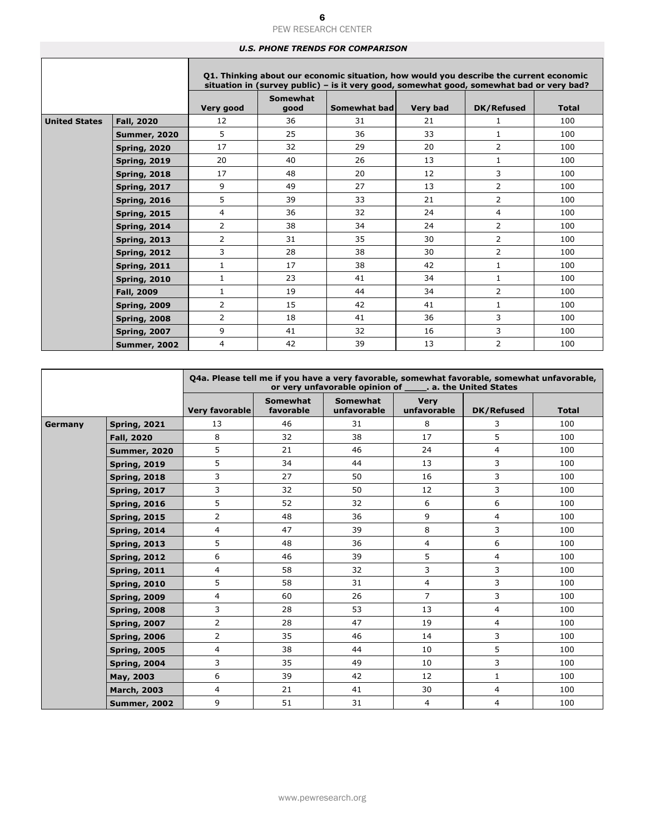#### *U.S. PHONE TRENDS FOR COMPARISON*

|                      |                     |                |                  | Q1. Thinking about our economic situation, how would you describe the current economic<br>situation in (survey public) - is it very good, somewhat good, somewhat bad or very bad? |                 |                   |              |
|----------------------|---------------------|----------------|------------------|------------------------------------------------------------------------------------------------------------------------------------------------------------------------------------|-----------------|-------------------|--------------|
|                      |                     | Very good      | Somewhat<br>good | Somewhat bad                                                                                                                                                                       | <b>Very bad</b> | <b>DK/Refused</b> | <b>Total</b> |
| <b>United States</b> | Fall, 2020          | 12             | 36               | 31                                                                                                                                                                                 | 21              | 1                 | 100          |
|                      | <b>Summer, 2020</b> | 5              | 25               | 36                                                                                                                                                                                 | 33              | $\mathbf{1}$      | 100          |
|                      | <b>Spring, 2020</b> | 17             | 32               | 29                                                                                                                                                                                 | 20              | $\overline{2}$    | 100          |
|                      | <b>Spring, 2019</b> | 20             | 40               | 26                                                                                                                                                                                 | 13              | $\mathbf{1}$      | 100          |
|                      | <b>Spring, 2018</b> | 17             | 48               | 20                                                                                                                                                                                 | 12              | 3                 | 100          |
|                      | <b>Spring, 2017</b> | 9              | 49               | 27                                                                                                                                                                                 | 13              | $\overline{2}$    | 100          |
|                      | <b>Spring, 2016</b> | 5              | 39               | 33                                                                                                                                                                                 | 21              | $\overline{2}$    | 100          |
|                      | <b>Spring, 2015</b> | 4              | 36               | 32                                                                                                                                                                                 | 24              | $\overline{4}$    | 100          |
|                      | <b>Spring, 2014</b> | 2              | 38               | 34                                                                                                                                                                                 | 24              | $\overline{2}$    | 100          |
|                      | <b>Spring, 2013</b> | $\overline{2}$ | 31               | 35                                                                                                                                                                                 | 30              | $\overline{2}$    | 100          |
|                      | <b>Spring, 2012</b> | 3              | 28               | 38                                                                                                                                                                                 | 30              | $\overline{2}$    | 100          |
|                      | <b>Spring, 2011</b> | $\mathbf{1}$   | 17               | 38                                                                                                                                                                                 | 42              | $\mathbf{1}$      | 100          |
|                      | <b>Spring, 2010</b> | $\mathbf{1}$   | 23               | 41                                                                                                                                                                                 | 34              | $\mathbf{1}$      | 100          |
|                      | Fall, 2009          | $\mathbf{1}$   | 19               | 44                                                                                                                                                                                 | 34              | $\overline{2}$    | 100          |
|                      | <b>Spring, 2009</b> | $\overline{2}$ | 15               | 42                                                                                                                                                                                 | 41              | $\mathbf{1}$      | 100          |
|                      | <b>Spring, 2008</b> | $\overline{2}$ | 18               | 41                                                                                                                                                                                 | 36              | 3                 | 100          |
|                      | <b>Spring, 2007</b> | 9              | 41               | 32                                                                                                                                                                                 | 16              | 3                 | 100          |
|                      | <b>Summer, 2002</b> | 4              | 42               | 39                                                                                                                                                                                 | 13              | $\overline{2}$    | 100          |

| O4a. Please tell me if you have a very favorable, somewhat favorable, somewhat unfavorable,<br>or very unfavorable opinion of ______. a. the United States |                     |                |                              |                                |                            |                   |              |
|------------------------------------------------------------------------------------------------------------------------------------------------------------|---------------------|----------------|------------------------------|--------------------------------|----------------------------|-------------------|--------------|
|                                                                                                                                                            |                     | Very favorable | <b>Somewhat</b><br>favorable | <b>Somewhat</b><br>unfavorable | <b>Very</b><br>unfavorable | <b>DK/Refused</b> | <b>Total</b> |
| Germany                                                                                                                                                    | <b>Spring, 2021</b> | 13             | 46                           | 31                             | 8                          | 3                 | 100          |
|                                                                                                                                                            | <b>Fall, 2020</b>   | 8              | 32                           | 38                             | 17                         | 5                 | 100          |
|                                                                                                                                                            | <b>Summer, 2020</b> | 5              | 21                           | 46                             | 24                         | $\overline{4}$    | 100          |
|                                                                                                                                                            | <b>Spring, 2019</b> | 5              | 34                           | 44                             | 13                         | 3                 | 100          |
|                                                                                                                                                            | <b>Spring, 2018</b> | 3              | 27                           | 50                             | 16                         | 3                 | 100          |
|                                                                                                                                                            | <b>Spring, 2017</b> | 3              | 32                           | 50                             | 12                         | 3                 | 100          |
|                                                                                                                                                            | <b>Spring, 2016</b> | 5              | 52                           | 32                             | 6                          | 6                 | 100          |
|                                                                                                                                                            | <b>Spring, 2015</b> | $\overline{2}$ | 48                           | 36                             | 9                          | $\overline{4}$    | 100          |
|                                                                                                                                                            | <b>Spring, 2014</b> | 4              | 47                           | 39                             | 8                          | 3                 | 100          |
|                                                                                                                                                            | <b>Spring, 2013</b> | 5              | 48                           | 36                             | $\overline{4}$             | 6                 | 100          |
|                                                                                                                                                            | <b>Spring, 2012</b> | 6              | 46                           | 39                             | 5                          | 4                 | 100          |
|                                                                                                                                                            | <b>Spring, 2011</b> | $\overline{4}$ | 58                           | 32                             | 3                          | 3                 | 100          |
|                                                                                                                                                            | <b>Spring, 2010</b> | 5              | 58                           | 31                             | $\overline{4}$             | 3                 | 100          |
|                                                                                                                                                            | <b>Spring, 2009</b> | 4              | 60                           | 26                             | $\overline{7}$             | 3                 | 100          |
|                                                                                                                                                            | <b>Spring, 2008</b> | 3              | 28                           | 53                             | 13                         | 4                 | 100          |
|                                                                                                                                                            | <b>Spring, 2007</b> | $\overline{2}$ | 28                           | 47                             | 19                         | $\overline{4}$    | 100          |
|                                                                                                                                                            | <b>Spring, 2006</b> | $\overline{2}$ | 35                           | 46                             | 14                         | 3                 | 100          |
|                                                                                                                                                            | <b>Spring, 2005</b> | 4              | 38                           | 44                             | 10                         | 5                 | 100          |
|                                                                                                                                                            | <b>Spring, 2004</b> | 3              | 35                           | 49                             | 10                         | 3                 | 100          |
|                                                                                                                                                            | May, 2003           | 6              | 39                           | 42                             | 12                         | $\mathbf{1}$      | 100          |
|                                                                                                                                                            | <b>March, 2003</b>  | $\overline{4}$ | 21                           | 41                             | 30                         | $\overline{4}$    | 100          |
|                                                                                                                                                            | <b>Summer, 2002</b> | 9              | 51                           | 31                             | $\overline{4}$             | $\overline{4}$    | 100          |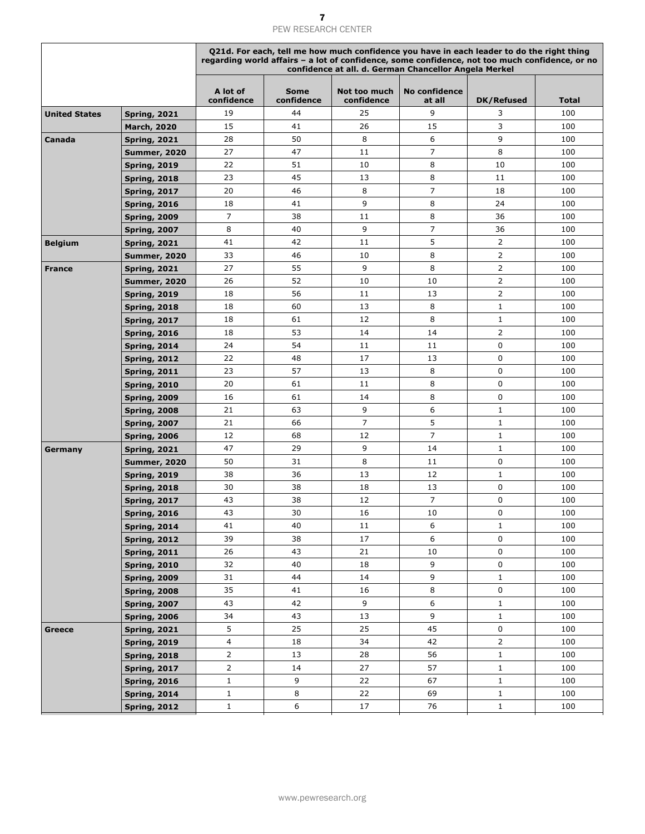|                      |                     | Q21d. For each, tell me how much confidence you have in each leader to do the right thing<br>regarding world affairs - a lot of confidence, some confidence, not too much confidence, or no<br>confidence at all. d. German Chancellor Angela Merkel |                           |                            |                                |                |       |
|----------------------|---------------------|------------------------------------------------------------------------------------------------------------------------------------------------------------------------------------------------------------------------------------------------------|---------------------------|----------------------------|--------------------------------|----------------|-------|
|                      |                     | A lot of<br>confidence                                                                                                                                                                                                                               | <b>Some</b><br>confidence | Not too much<br>confidence | <b>No confidence</b><br>at all | DK/Refused     | Total |
| <b>United States</b> | <b>Spring, 2021</b> | 19                                                                                                                                                                                                                                                   | 44                        | 25                         | 9                              | 3              | 100   |
|                      | <b>March, 2020</b>  | 15                                                                                                                                                                                                                                                   | 41                        | 26                         | 15                             | 3              | 100   |
| Canada               | <b>Spring, 2021</b> | 28                                                                                                                                                                                                                                                   | 50                        | 8                          | 6                              | 9              | 100   |
|                      | <b>Summer, 2020</b> | 27                                                                                                                                                                                                                                                   | 47                        | 11                         | 7                              | 8              | 100   |
|                      | <b>Spring, 2019</b> | 22                                                                                                                                                                                                                                                   | 51                        | 10                         | 8                              | 10             | 100   |
|                      | <b>Spring, 2018</b> | 23                                                                                                                                                                                                                                                   | 45                        | 13                         | 8                              | 11             | 100   |
|                      | <b>Spring, 2017</b> | 20                                                                                                                                                                                                                                                   | 46                        | 8                          | 7                              | 18             | 100   |
|                      | <b>Spring, 2016</b> | 18                                                                                                                                                                                                                                                   | 41                        | 9                          | 8                              | 24             | 100   |
|                      | <b>Spring, 2009</b> | $\overline{7}$                                                                                                                                                                                                                                       | 38                        | 11                         | 8                              | 36             | 100   |
|                      | <b>Spring, 2007</b> | 8                                                                                                                                                                                                                                                    | 40                        | 9                          | $\overline{7}$                 | 36             | 100   |
| <b>Belgium</b>       | <b>Spring, 2021</b> | 41                                                                                                                                                                                                                                                   | 42                        | 11                         | 5                              | $\overline{2}$ | 100   |
|                      | <b>Summer, 2020</b> | 33                                                                                                                                                                                                                                                   | 46                        | 10                         | 8                              | $\overline{2}$ | 100   |
| <b>France</b>        | <b>Spring, 2021</b> | 27                                                                                                                                                                                                                                                   | 55                        | 9                          | 8                              | $\overline{2}$ | 100   |
|                      | <b>Summer, 2020</b> | 26                                                                                                                                                                                                                                                   | 52                        | 10                         | 10                             | $\overline{2}$ | 100   |
|                      | <b>Spring, 2019</b> | 18                                                                                                                                                                                                                                                   | 56                        | 11                         | 13                             | $\overline{2}$ | 100   |
|                      | <b>Spring, 2018</b> | 18                                                                                                                                                                                                                                                   | 60                        | 13                         | 8                              | $\mathbf{1}$   | 100   |
|                      | <b>Spring, 2017</b> | 18                                                                                                                                                                                                                                                   | 61                        | 12                         | 8                              | $\mathbf{1}$   | 100   |
|                      | <b>Spring, 2016</b> | 18                                                                                                                                                                                                                                                   | 53                        | 14                         | 14                             | $\overline{2}$ | 100   |
|                      | <b>Spring, 2014</b> | 24                                                                                                                                                                                                                                                   | 54                        | 11                         | 11                             | $\mathbf 0$    | 100   |
|                      | <b>Spring, 2012</b> | 22                                                                                                                                                                                                                                                   | 48                        | 17                         | 13                             | $\mathbf 0$    | 100   |
|                      | <b>Spring, 2011</b> | 23                                                                                                                                                                                                                                                   | 57                        | 13                         | 8                              | $\mathbf 0$    | 100   |
|                      | <b>Spring, 2010</b> | 20                                                                                                                                                                                                                                                   | 61                        | 11                         | 8                              | $\mathbf 0$    | 100   |
|                      | <b>Spring, 2009</b> | 16                                                                                                                                                                                                                                                   | 61                        | 14                         | 8                              | $\mathbf 0$    | 100   |
|                      | <b>Spring, 2008</b> | 21                                                                                                                                                                                                                                                   | 63                        | 9                          | 6                              | $\mathbf{1}$   | 100   |
|                      | <b>Spring, 2007</b> | 21                                                                                                                                                                                                                                                   | 66                        | $\overline{7}$             | 5                              | $\mathbf{1}$   | 100   |
|                      | <b>Spring, 2006</b> | 12                                                                                                                                                                                                                                                   | 68                        | 12                         | $\overline{7}$                 | $\mathbf{1}$   | 100   |
| Germany              | <b>Spring, 2021</b> | 47                                                                                                                                                                                                                                                   | 29                        | 9                          | 14                             | $\mathbf{1}$   | 100   |
|                      | <b>Summer, 2020</b> | 50                                                                                                                                                                                                                                                   | 31                        | 8                          | 11                             | $\mathbf 0$    | 100   |
|                      | <b>Spring, 2019</b> | 38                                                                                                                                                                                                                                                   | 36                        | 13                         | 12                             | $\mathbf{1}$   | 100   |
|                      | <b>Spring, 2018</b> | 30                                                                                                                                                                                                                                                   | 38                        | 18                         | 13                             | $\mathbf 0$    | 100   |
|                      | <b>Spring, 2017</b> | 43                                                                                                                                                                                                                                                   | 38                        | 12                         | $\overline{7}$                 | 0              | 100   |
|                      | <b>Spring, 2016</b> | 43                                                                                                                                                                                                                                                   | 30                        | $16\,$                     | 10                             | $\pmb{0}$      | 100   |
|                      | <b>Spring, 2014</b> | 41                                                                                                                                                                                                                                                   | 40                        | 11                         | 6                              | $\mathbf{1}$   | 100   |
|                      | <b>Spring, 2012</b> | 39                                                                                                                                                                                                                                                   | 38                        | 17                         | 6                              | 0              | 100   |
|                      | <b>Spring, 2011</b> | 26                                                                                                                                                                                                                                                   | 43                        | 21                         | 10                             | $\mathbf 0$    | 100   |
|                      | <b>Spring, 2010</b> | 32                                                                                                                                                                                                                                                   | 40                        | 18                         | 9                              | 0              | 100   |
|                      | <b>Spring, 2009</b> | 31                                                                                                                                                                                                                                                   | 44                        | 14                         | 9                              | $\mathbf{1}$   | 100   |
|                      | <b>Spring, 2008</b> | 35                                                                                                                                                                                                                                                   | 41                        | 16                         | 8                              | $\mathsf 0$    | 100   |
|                      | <b>Spring, 2007</b> | 43                                                                                                                                                                                                                                                   | 42                        | 9                          | 6                              | $\mathbf{1}$   | 100   |
|                      | <b>Spring, 2006</b> | 34                                                                                                                                                                                                                                                   | 43                        | 13                         | 9                              | $\mathbf{1}$   | 100   |
| Greece               | <b>Spring, 2021</b> | 5                                                                                                                                                                                                                                                    | 25                        | 25                         | 45                             | $\mathsf 0$    | 100   |
|                      | <b>Spring, 2019</b> | 4                                                                                                                                                                                                                                                    | 18                        | 34                         | 42                             | $\overline{2}$ | 100   |
|                      | <b>Spring, 2018</b> | $\overline{2}$                                                                                                                                                                                                                                       | 13                        | 28                         | 56                             | $\mathbf{1}$   | 100   |
|                      | <b>Spring, 2017</b> | $\overline{2}$                                                                                                                                                                                                                                       | 14                        | 27                         | 57                             | $\mathbf{1}$   | 100   |
|                      | <b>Spring, 2016</b> | $\mathbf{1}$                                                                                                                                                                                                                                         | 9                         | 22                         | 67                             | $\mathbf{1}$   | 100   |
|                      | <b>Spring, 2014</b> | $\mathbf{1}$                                                                                                                                                                                                                                         | 8                         | 22                         | 69                             | $\mathbf{1}$   | 100   |
|                      | <b>Spring, 2012</b> | $\mathbf{1}$                                                                                                                                                                                                                                         | 6                         | 17                         | 76                             | $\mathbf 1$    | 100   |
|                      |                     |                                                                                                                                                                                                                                                      |                           |                            |                                |                |       |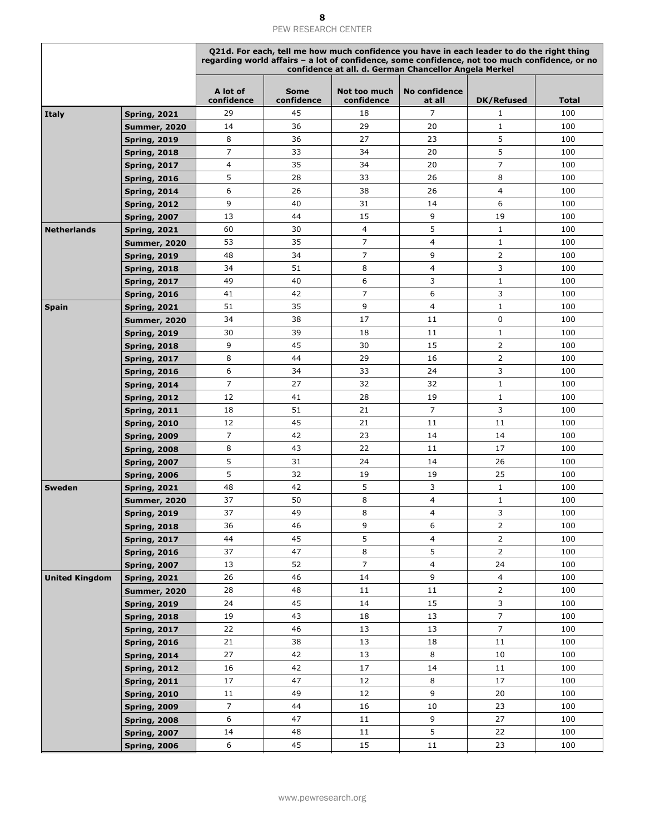|                       |                     | Q21d. For each, tell me how much confidence you have in each leader to do the right thing<br>regarding world affairs - a lot of confidence, some confidence, not too much confidence, or no<br>confidence at all. d. German Chancellor Angela Merkel |                           |                            |                                |                   |              |  |
|-----------------------|---------------------|------------------------------------------------------------------------------------------------------------------------------------------------------------------------------------------------------------------------------------------------------|---------------------------|----------------------------|--------------------------------|-------------------|--------------|--|
|                       |                     | A lot of<br>confidence                                                                                                                                                                                                                               | <b>Some</b><br>confidence | Not too much<br>confidence | <b>No confidence</b><br>at all | <b>DK/Refused</b> | <b>Total</b> |  |
| <b>Italy</b>          | <b>Spring, 2021</b> | 29                                                                                                                                                                                                                                                   | 45                        | 18                         | $\overline{7}$                 | 1                 | 100          |  |
|                       | <b>Summer, 2020</b> | 14                                                                                                                                                                                                                                                   | 36                        | 29                         | 20                             | $\mathbf{1}$      | 100          |  |
|                       | <b>Spring, 2019</b> | 8                                                                                                                                                                                                                                                    | 36                        | 27                         | 23                             | 5                 | 100          |  |
|                       | <b>Spring, 2018</b> | 7                                                                                                                                                                                                                                                    | 33                        | 34                         | 20                             | 5                 | 100          |  |
|                       | <b>Spring, 2017</b> | 4                                                                                                                                                                                                                                                    | 35                        | 34                         | 20                             | $\overline{7}$    | 100          |  |
|                       | <b>Spring, 2016</b> | 5                                                                                                                                                                                                                                                    | 28                        | 33                         | 26                             | 8                 | 100          |  |
|                       | <b>Spring, 2014</b> | 6                                                                                                                                                                                                                                                    | 26                        | 38                         | 26                             | 4                 | 100          |  |
|                       | <b>Spring, 2012</b> | 9                                                                                                                                                                                                                                                    | 40                        | 31                         | 14                             | 6                 | 100          |  |
|                       | <b>Spring, 2007</b> | 13                                                                                                                                                                                                                                                   | 44                        | 15                         | 9                              | 19                | 100          |  |
| <b>Netherlands</b>    | <b>Spring, 2021</b> | 60                                                                                                                                                                                                                                                   | 30                        | 4                          | 5                              | $\mathbf{1}$      | 100          |  |
|                       | <b>Summer, 2020</b> | 53                                                                                                                                                                                                                                                   | 35                        | $\overline{7}$             | 4                              | $\mathbf{1}$      | 100          |  |
|                       | <b>Spring, 2019</b> | 48                                                                                                                                                                                                                                                   | 34                        | $\overline{7}$             | 9                              | $\overline{2}$    | 100          |  |
|                       | <b>Spring, 2018</b> | 34                                                                                                                                                                                                                                                   | 51                        | 8                          | 4                              | 3                 | 100          |  |
|                       | <b>Spring, 2017</b> | 49                                                                                                                                                                                                                                                   | 40                        | 6                          | 3                              | $\mathbf{1}$      | 100          |  |
|                       | <b>Spring, 2016</b> | 41                                                                                                                                                                                                                                                   | 42                        | $\overline{7}$             | 6                              | 3                 | 100          |  |
| <b>Spain</b>          | <b>Spring, 2021</b> | 51                                                                                                                                                                                                                                                   | 35                        | 9                          | 4                              | $\mathbf{1}$      | 100          |  |
|                       | <b>Summer, 2020</b> | 34                                                                                                                                                                                                                                                   | 38                        | 17                         | 11                             | 0                 | 100          |  |
|                       | <b>Spring, 2019</b> | 30                                                                                                                                                                                                                                                   | 39                        | 18                         | 11                             | $\mathbf{1}$      | 100          |  |
|                       | <b>Spring, 2018</b> | 9                                                                                                                                                                                                                                                    | 45                        | 30                         | 15                             | $\overline{2}$    | 100          |  |
|                       | <b>Spring, 2017</b> | 8                                                                                                                                                                                                                                                    | 44                        | 29                         | 16                             | $\overline{2}$    | 100          |  |
|                       | <b>Spring, 2016</b> | 6                                                                                                                                                                                                                                                    | 34                        | 33                         | 24                             | 3                 | 100          |  |
|                       | <b>Spring, 2014</b> | 7                                                                                                                                                                                                                                                    | 27                        | 32                         | 32                             | $\mathbf{1}$      | 100          |  |
|                       | <b>Spring, 2012</b> | 12                                                                                                                                                                                                                                                   | 41                        | 28                         | 19                             | $\mathbf{1}$      | 100          |  |
|                       | <b>Spring, 2011</b> | 18                                                                                                                                                                                                                                                   | 51                        | 21                         | $\overline{7}$                 | 3                 | 100          |  |
|                       | <b>Spring, 2010</b> | 12                                                                                                                                                                                                                                                   | 45                        | 21                         | 11                             | 11                | 100          |  |
|                       | <b>Spring, 2009</b> | $\overline{7}$                                                                                                                                                                                                                                       | 42                        | 23                         | 14                             | 14                | 100          |  |
|                       | <b>Spring, 2008</b> | 8                                                                                                                                                                                                                                                    | 43                        | 22                         | 11                             | 17                | 100          |  |
|                       | <b>Spring, 2007</b> | 5                                                                                                                                                                                                                                                    | 31                        | 24                         | 14                             | 26                | 100          |  |
|                       | <b>Spring, 2006</b> | 5                                                                                                                                                                                                                                                    | 32                        | 19                         | 19                             | 25                | 100          |  |
| <b>Sweden</b>         | <b>Spring, 2021</b> | 48                                                                                                                                                                                                                                                   | 42                        | 5                          | 3                              | $\mathbf{1}$      | 100          |  |
|                       | <b>Summer, 2020</b> | 37                                                                                                                                                                                                                                                   | 50                        | 8                          | 4                              | $1\,$             | 100          |  |
|                       | <b>Spring, 2019</b> | 37                                                                                                                                                                                                                                                   | 49                        | 8                          | $\overline{4}$                 | 3                 | 100          |  |
|                       | <b>Spring, 2018</b> | 36                                                                                                                                                                                                                                                   | 46                        | 9                          | 6                              | $\overline{2}$    | 100          |  |
|                       | <b>Spring, 2017</b> | 44                                                                                                                                                                                                                                                   | 45                        | 5                          | 4                              | $\overline{2}$    | 100          |  |
|                       | <b>Spring, 2016</b> | 37                                                                                                                                                                                                                                                   | 47                        | 8                          | 5                              | $\overline{2}$    | 100          |  |
|                       | <b>Spring, 2007</b> | 13                                                                                                                                                                                                                                                   | 52                        | $\overline{7}$             | $\overline{4}$                 | 24                | 100          |  |
| <b>United Kingdom</b> | <b>Spring, 2021</b> | 26                                                                                                                                                                                                                                                   | 46                        | 14                         | 9                              | $\overline{4}$    | 100          |  |
|                       | <b>Summer, 2020</b> | 28                                                                                                                                                                                                                                                   | 48                        | 11                         | 11                             | $\overline{2}$    | 100          |  |
|                       | <b>Spring, 2019</b> | 24                                                                                                                                                                                                                                                   | 45                        | 14                         | 15                             | $\mathsf{3}$      | 100          |  |
|                       | <b>Spring, 2018</b> | 19                                                                                                                                                                                                                                                   | 43                        | 18                         | 13                             | $\overline{7}$    | 100          |  |
|                       | <b>Spring, 2017</b> | 22                                                                                                                                                                                                                                                   | 46                        | 13                         | 13                             | $\overline{7}$    | 100          |  |
|                       | <b>Spring, 2016</b> | 21                                                                                                                                                                                                                                                   | 38                        | 13                         | 18                             | 11                | 100          |  |
|                       | <b>Spring, 2014</b> | 27                                                                                                                                                                                                                                                   | 42                        | 13                         | 8                              | 10                | 100          |  |
|                       | <b>Spring, 2012</b> | 16                                                                                                                                                                                                                                                   | 42                        | 17                         | 14                             | 11                | 100          |  |
|                       |                     | 17                                                                                                                                                                                                                                                   | 47                        | 12                         | 8                              | 17                | 100          |  |
|                       | <b>Spring, 2011</b> | 11                                                                                                                                                                                                                                                   | 49                        | 12                         | 9                              | 20                | 100          |  |
|                       | <b>Spring, 2010</b> | $\overline{7}$                                                                                                                                                                                                                                       | 44                        | 16                         | 10                             | 23                | 100          |  |
|                       | <b>Spring, 2009</b> | 6                                                                                                                                                                                                                                                    |                           |                            | 9                              |                   |              |  |
|                       | <b>Spring, 2008</b> |                                                                                                                                                                                                                                                      | 47                        | 11                         | 5                              | 27                | 100          |  |
|                       | <b>Spring, 2007</b> | 14                                                                                                                                                                                                                                                   | 48                        | 11                         |                                | 22                | 100          |  |
|                       | <b>Spring, 2006</b> | 6                                                                                                                                                                                                                                                    | 45                        | 15                         | 11                             | 23                | 100          |  |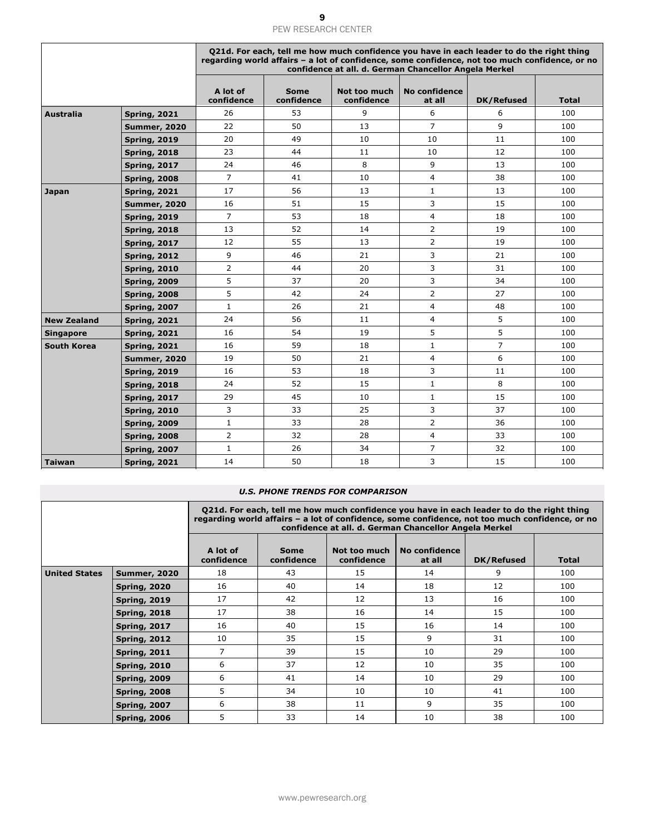|                    |                     |                        | Q21d. For each, tell me how much confidence you have in each leader to do the right thing<br>regarding world affairs - a lot of confidence, some confidence, not too much confidence, or no<br>confidence at all. d. German Chancellor Angela Merkel |                            |                         |                |              |  |  |
|--------------------|---------------------|------------------------|------------------------------------------------------------------------------------------------------------------------------------------------------------------------------------------------------------------------------------------------------|----------------------------|-------------------------|----------------|--------------|--|--|
|                    |                     | A lot of<br>confidence | <b>Some</b><br>confidence                                                                                                                                                                                                                            | Not too much<br>confidence | No confidence<br>at all | DK/Refused     | <b>Total</b> |  |  |
| <b>Australia</b>   | <b>Spring, 2021</b> | 26                     | 53                                                                                                                                                                                                                                                   | 9                          | 6                       | 6              | 100          |  |  |
|                    | <b>Summer, 2020</b> | 22                     | 50                                                                                                                                                                                                                                                   | 13                         | $\overline{7}$          | 9              | 100          |  |  |
|                    | <b>Spring, 2019</b> | 20                     | 49                                                                                                                                                                                                                                                   | 10                         | 10                      | 11             | 100          |  |  |
|                    | <b>Spring, 2018</b> | 23                     | 44                                                                                                                                                                                                                                                   | 11                         | 10                      | 12             | 100          |  |  |
|                    | <b>Spring, 2017</b> | 24                     | 46                                                                                                                                                                                                                                                   | 8                          | 9                       | 13             | 100          |  |  |
|                    | <b>Spring, 2008</b> | $\overline{7}$         | 41                                                                                                                                                                                                                                                   | 10                         | $\overline{4}$          | 38             | 100          |  |  |
| Japan              | <b>Spring, 2021</b> | 17                     | 56                                                                                                                                                                                                                                                   | 13                         | $\mathbf{1}$            | 13             | 100          |  |  |
|                    | <b>Summer, 2020</b> | 16                     | 51                                                                                                                                                                                                                                                   | 15                         | 3                       | 15             | 100          |  |  |
|                    | <b>Spring, 2019</b> | $\overline{7}$         | 53                                                                                                                                                                                                                                                   | 18                         | 4                       | 18             | 100          |  |  |
|                    | <b>Spring, 2018</b> | 13                     | 52                                                                                                                                                                                                                                                   | 14                         | $\overline{2}$          | 19             | 100          |  |  |
|                    | <b>Spring, 2017</b> | 12                     | 55                                                                                                                                                                                                                                                   | 13                         | $\overline{2}$          | 19             | 100          |  |  |
|                    | <b>Spring, 2012</b> | 9                      | 46                                                                                                                                                                                                                                                   | 21                         | 3                       | 21             | 100          |  |  |
|                    | <b>Spring, 2010</b> | $\overline{2}$         | 44                                                                                                                                                                                                                                                   | 20                         | 3                       | 31             | 100          |  |  |
|                    | <b>Spring, 2009</b> | 5                      | 37                                                                                                                                                                                                                                                   | 20                         | 3                       | 34             | 100          |  |  |
|                    | <b>Spring, 2008</b> | 5                      | 42                                                                                                                                                                                                                                                   | 24                         | $\overline{2}$          | 27             | 100          |  |  |
|                    | <b>Spring, 2007</b> | $\mathbf{1}$           | 26                                                                                                                                                                                                                                                   | 21                         | $\overline{4}$          | 48             | 100          |  |  |
| <b>New Zealand</b> | <b>Spring, 2021</b> | 24                     | 56                                                                                                                                                                                                                                                   | 11                         | $\overline{4}$          | 5              | 100          |  |  |
| <b>Singapore</b>   | <b>Spring, 2021</b> | 16                     | 54                                                                                                                                                                                                                                                   | 19                         | 5                       | 5              | 100          |  |  |
| <b>South Korea</b> | <b>Spring, 2021</b> | 16                     | 59                                                                                                                                                                                                                                                   | 18                         | $\mathbf{1}$            | $\overline{7}$ | 100          |  |  |
|                    | <b>Summer, 2020</b> | 19                     | 50                                                                                                                                                                                                                                                   | 21                         | $\overline{4}$          | 6              | 100          |  |  |
|                    | <b>Spring, 2019</b> | 16                     | 53                                                                                                                                                                                                                                                   | 18                         | 3                       | 11             | 100          |  |  |
|                    | <b>Spring, 2018</b> | 24                     | 52                                                                                                                                                                                                                                                   | 15                         | $\mathbf{1}$            | 8              | 100          |  |  |
|                    | <b>Spring, 2017</b> | 29                     | 45                                                                                                                                                                                                                                                   | 10                         | $\mathbf{1}$            | 15             | 100          |  |  |
|                    | <b>Spring, 2010</b> | 3                      | 33                                                                                                                                                                                                                                                   | 25                         | 3                       | 37             | 100          |  |  |
|                    | <b>Spring, 2009</b> | $\mathbf{1}$           | 33                                                                                                                                                                                                                                                   | 28                         | $\overline{2}$          | 36             | 100          |  |  |
|                    | <b>Spring, 2008</b> | $\overline{2}$         | 32                                                                                                                                                                                                                                                   | 28                         | $\overline{4}$          | 33             | 100          |  |  |
|                    | <b>Spring, 2007</b> | $\mathbf{1}$           | 26                                                                                                                                                                                                                                                   | 34                         | $\overline{7}$          | 32             | 100          |  |  |
| <b>Taiwan</b>      | <b>Spring, 2021</b> | 14                     | 50                                                                                                                                                                                                                                                   | 18                         | 3                       | 15             | 100          |  |  |

#### *U.S. PHONE TRENDS FOR COMPARISON*

|                      |                     | Q21d. For each, tell me how much confidence you have in each leader to do the right thing<br>regarding world affairs - a lot of confidence, some confidence, not too much confidence, or no<br>confidence at all. d. German Chancellor Angela Merkel |                           |                            |                         |            |       |  |  |
|----------------------|---------------------|------------------------------------------------------------------------------------------------------------------------------------------------------------------------------------------------------------------------------------------------------|---------------------------|----------------------------|-------------------------|------------|-------|--|--|
|                      |                     | A lot of<br>confidence                                                                                                                                                                                                                               | <b>Some</b><br>confidence | Not too much<br>confidence | No confidence<br>at all | DK/Refused | Total |  |  |
| <b>United States</b> | <b>Summer, 2020</b> | 18                                                                                                                                                                                                                                                   | 43                        | 15                         | 14                      | 9          | 100   |  |  |
|                      | <b>Spring, 2020</b> | 16                                                                                                                                                                                                                                                   | 40                        | 14                         | 18                      | 12         | 100   |  |  |
|                      | <b>Spring, 2019</b> | 17                                                                                                                                                                                                                                                   | 42                        | 12                         | 13                      | 16         | 100   |  |  |
|                      | <b>Spring, 2018</b> | 17                                                                                                                                                                                                                                                   | 38                        | 16                         | 14                      | 15         | 100   |  |  |
|                      | <b>Spring, 2017</b> | 16                                                                                                                                                                                                                                                   | 40                        | 15                         | 16                      | 14         | 100   |  |  |
|                      | <b>Spring, 2012</b> | 10                                                                                                                                                                                                                                                   | 35                        | 15                         | 9                       | 31         | 100   |  |  |
|                      | <b>Spring, 2011</b> | 7                                                                                                                                                                                                                                                    | 39                        | 15                         | 10                      | 29         | 100   |  |  |
|                      | <b>Spring, 2010</b> | 6                                                                                                                                                                                                                                                    | 37                        | 12                         | 10                      | 35         | 100   |  |  |
|                      | <b>Spring, 2009</b> | 6                                                                                                                                                                                                                                                    | 41                        | 14                         | 10                      | 29         | 100   |  |  |
|                      | <b>Spring, 2008</b> | 5                                                                                                                                                                                                                                                    | 34                        | 10                         | 10                      | 41         | 100   |  |  |
|                      | <b>Spring, 2007</b> | 6                                                                                                                                                                                                                                                    | 38                        | 11                         | 9                       | 35         | 100   |  |  |
|                      | <b>Spring, 2006</b> | 5                                                                                                                                                                                                                                                    | 33                        | 14                         | 10                      | 38         | 100   |  |  |